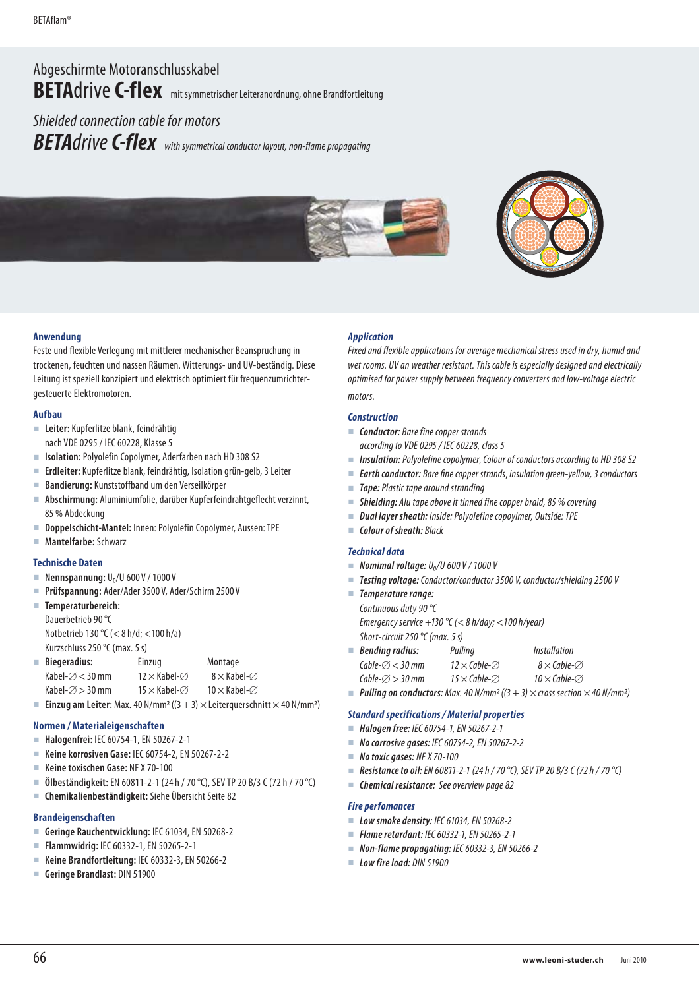# Abgeschirmte Motoranschlusskabel **BETA**drive **C-flex** mit symmetrischer Leiteranordnung, ohne Brandfortleitung

Shielded connection cable for motors *BETA*drive *C-flex*with symmetrical conductor layout, non-flame propagating



#### **Anwendung**

Feste und flexible Verlegung mit mittlerer mechanischer Beanspruchung in trockenen, feuchten und nassen Räumen. Witterungs- und UV-beständig. Diese Leitung ist speziell konzipiert und elektrisch optimiert für frequenzumrichtergesteuerte Elektromotoren.

#### **Aufbau**

- **Leiter:** Kupferlitze blank, feindrähtig nach VDE 0295 / IEC 60228, Klasse 5
- **Isolation:** Polyolefin Copolymer, Aderfarben nach HD 308 S2
- **Erdleiter:** Kupferlitze blank, feindrähtig, Isolation grün-gelb, 3 Leiter
- **Bandierung:** Kunststoffband um den Verseilkörper
- **Abschirmung:** Aluminiumfolie, darüber Kupferfeindrahtgeflecht verzinnt, 85 % Abdeckung
- **Doppelschicht-Mantel:** Innen: Polyolefin Copolymer, Aussen: TPE
- **Mantelfarbe:** Schwarz

#### **Technische Daten**

- **Nennspannung: U<sub>0</sub>/U 600 V / 1000 V**
- **Prüfspannung:** Ader/Ader 3500 V, Ader/Schirm 2500 V
- **Temperaturbereich:**  Dauerbetrieb 90 °C Notbetrieb 130 °C (< 8 h/d; <100 h/a)
	- Kurzschluss 250 °C (max. 5 s)

| $N$ ustaninuss $L$ yv $\left\{$ (inda. J 3) |                              |                            |  |
|---------------------------------------------|------------------------------|----------------------------|--|
| Biegeradius:                                | Einzug                       | Montage                    |  |
| Kabel- $\varnothing$ < 30 mm                | $12 \times$ Kabel- $\oslash$ | $8\times$ Kabel- $\oslash$ |  |

| Kabel- $\varnothing$ > 30 mm | $15 \times$ Kabel- $\varnothing$ | $10 \times$ Kabel- $\varnothing$ |
|------------------------------|----------------------------------|----------------------------------|

**Einzug am Leiter:** Max. 40 N/mm<sup>2</sup> ( $(3 + 3) \times$  Leiterquerschnitt  $\times$  40 N/mm<sup>2</sup>)

#### **Normen / Materialeigenschaften**

- **Halogenfrei:** IEC 60754-1, EN 50267-2-1
- **Keine korrosiven Gase:** IEC 60754-2, EN 50267-2-2
- **Keine toxischen Gase:** NF X 70-100
- **Ölbeständigkeit:** EN 60811-2-1 (24 h / 70 °C), SEV TP 20 B/3 C (72 h / 70 °C)
- **Chemikalienbeständigkeit:** Siehe Übersicht Seite 82

### **Brandeigenschaften**

- **Geringe Rauchentwicklung:** IEC 61034, EN 50268-2
- **Flammwidrig:** IEC 60332-1, EN 50265-2-1
- **Keine Brandfortleitung:** IEC 60332-3, EN 50266-2
- **Geringe Brandlast:** DIN 51900

#### *Application*

Fixed and flexible applications for average mechanical stress used in dry, humid and wet rooms. UV an weather resistant. This cable is especially designed and electrically optimised for power supply between frequency converters and low-voltage electric motors.

## *Construction*

- *Conductor:* Bare fine copper strands according to VDE 0295 / IEC 60228, class 5
- *Insulation: Polyolefine copolymer, Colour of conductors according to HD 308 S2*
- *Earth conductor:* Bare fine copper strands, insulation green-yellow, 3 conductors
- **Tape:** Plastic tape around stranding
- *Shielding:* Alu tape above it tinned fine copper braid, 85 % covering
- *Dual layer sheath:* Inside: Polyolefine copoylmer, Outside: TPE
- *Colour of sheath:* Black

#### *Technical data*

- $\blacksquare$  *Nomimal voltage:*  $U_0/U$  600 V / 1000 V
- *Testing voltage:* Conductor/conductor 3500 V, conductor/shielding 2500 V
- *Temperature range:*  Continuous duty 90 °C Emergency service +130 °C (< 8 h/day; <100 h/year) Short-circuit 250 °C (max. 5 s) *Bending radius:* Pulling Installation

| <b>Benaing raaius:</b>       | ruiling                          | Installation                     |
|------------------------------|----------------------------------|----------------------------------|
| Cable- $\varnothing$ < 30 mm | $12 \times$ Cable- $\varnothing$ | $8\times$ Cable- $\varnothing$   |
| Cable- $\varnothing$ > 30 mm | $15 \times$ Cable- $\varnothing$ | $10 \times$ Cable- $\varnothing$ |
|                              |                                  |                                  |

**Pulling on conductors:** Max. 40 N/mm<sup>2</sup> ( $(3 + 3) \times$  cross section  $\times$  40 N/mm<sup>2</sup>)

#### *Standard specifications / Material properties*

- *Halogen free:* IEC 60754-1, EN 50267-2-1
- *No corrosive gases:* IEC 60754-2, EN 50267-2-2
- *No toxic gases:* NF X 70-100
- *Resistance to oil:* EN 60811-2-1 (24 h / 70 °C), SEV TP 20 B/3 C (72 h / 70 °C)
- *Chemical resistance:* See overview page 82

#### *Fire perfomances*

- *Low smoke density:* IEC 61034, EN 50268-2
- *Flame retardant:* IEC 60332-1, EN 50265-2-1
- **Non-flame propagating: IEC 60332-3, EN 50266-2**
- *Low fire load:* DIN 51900